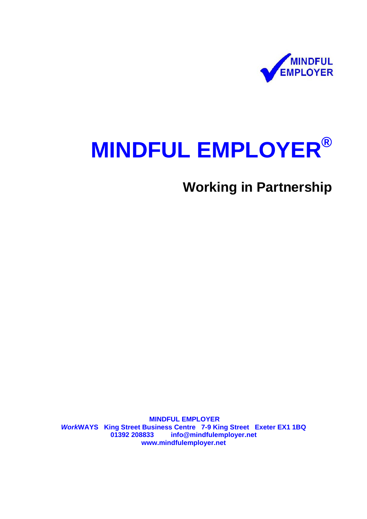

# **MINDFUL EMPLOYER®**

**Working in Partnership** 

 **[MINDFUL EMPLOYER](http://www.workways.org.uk/mindfulemployer.htm)**  *Work***WAYS King Street Business Centre 7-9 King Street Exeter EX1 1BQ 01392 208833 info@mindfulemployer.net www.mindfulemployer.net**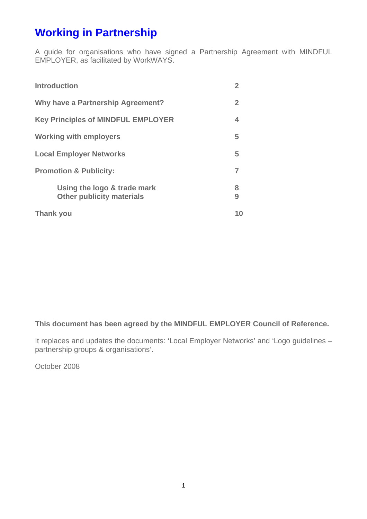# **Working in Partnership**

A guide for organisations who have signed a Partnership Agreement with MINDFUL EMPLOYER, as facilitated by WorkWAYS.

| <b>Introduction</b>                                             | 2            |
|-----------------------------------------------------------------|--------------|
| <b>Why have a Partnership Agreement?</b>                        | $\mathbf{2}$ |
| <b>Key Principles of MINDFUL EMPLOYER</b>                       | 4            |
| <b>Working with employers</b>                                   | 5            |
| <b>Local Employer Networks</b>                                  | 5            |
| <b>Promotion &amp; Publicity:</b>                               | 7            |
| Using the logo & trade mark<br><b>Other publicity materials</b> | 8<br>9       |
| <b>Thank you</b>                                                | 10           |

### **This document has been agreed by the MINDFUL EMPLOYER Council of Reference.**

It replaces and updates the documents: 'Local Employer Networks' and 'Logo guidelines – partnership groups & organisations'.

October 2008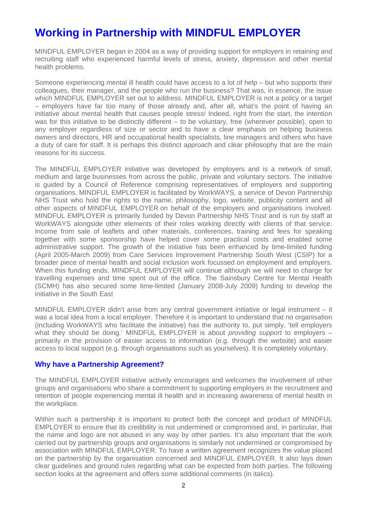# **Working in Partnership with MINDFUL EMPLOYER**

MINDFUL EMPLOYER began in 2004 as a way of providing support for employers in retaining and recruiting staff who experienced harmful levels of stress, anxiety, depression and other mental health problems.

Someone experiencing mental ill health could have access to a lot of help – but who supports their colleagues, their manager, and the people who run the business? That was, in essence, the issue which MINDFUL EMPLOYER set out to address. MINDFUL EMPLOYER is not a policy or a target – employers have far too many of those already and, after all, what's the point of having an initiative about mental health that causes people stress! Indeed, right from the start, the intention was for this initiative to be distinctly different – to be voluntary, free (wherever possible), open to any employer regardless of size or sector and to have a clear emphasis on helping business owners and directors, HR and occupational health specialists, line managers and others who have a duty of care for staff. It is perhaps this distinct approach and clear philosophy that are the main reasons for its success.

The MINDFUL EMPLOYER initiative was developed by employers and is a network of small, medium and large businesses from across the public, private and voluntary sectors. The initiative is guided by a Council of Reference comprising representatives of employers and supporting organisations. MINDFUL EMPLOYER is facilitated by WorkWAYS, a service of Devon Partnership NHS Trust who hold the rights to the name, philosophy, logo, website, publicity content and all other aspects of MINDFUL EMPLOYER on behalf of the employers and organisations involved. MINDFUL EMPLOYER is primarily funded by Devon Partnership NHS Trust and is run by staff at WorkWAYS alongside other elements of their roles working directly with clients of that service. Income from sale of leaflets and other materials, conferences, training and fees for speaking together with some sponsorship have helped cover some practical costs and enabled some administrative support. The growth of the initiative has been enhanced by time-limited funding (April 2005-March 2009) from Care Services Improvement Partnership South West (CSIP) for a broader piece of mental health and social inclusion work focussed on employment and employers. When this funding ends, MINDFUL EMPLOYER will continue although we will need to charge for travelling expenses and time spent out of the office. The Sainsbury Centre for Mental Health (SCMH) has also secured some time-limited (January 2008-July 2009) funding to develop the initiative in the South East

MINDFUL EMPLOYER didn't arise from any central government initiative or legal instrument – it was a local idea from a local employer. Therefore it is important to understand that no organisation (including WorkWAYS who facilitate the initiative) has the authority to, put simply, 'tell employers what they should be doing.' MINDFUL EMPLOYER is about *providing support* to employers – primarily in the provision of easier access to information (e.g. through the website) and easier access to local support (e.g. through organisations such as yourselves). It is completely voluntary.

#### **Why have a Partnership Agreement?**

The MINDFUL EMPLOYER initiative actively encourages and welcomes the involvement of other groups and organisations who share a commitment to supporting employers in the recruitment and retention of people experiencing mental ill health and in increasing awareness of mental health in the workplace.

Within such a partnership it is important to protect both the concept and product of MINDFUL EMPLOYER to ensure that its credibility is not undermined or compromised and, in particular, that the name and logo are not abused in any way by other parties. It's also important that the work carried out by partnership groups and organisations is similarly not undermined or compromised by association with MINDFUL EMPLOYER. To have a written agreement recognizes the value placed on the partnership by the organisation concerned and MINDFUL EMPLOYER. It also lays down clear guidelines and ground rules regarding what can be expected from both parties. The following section looks at the agreement and offers some additional comments (in italics).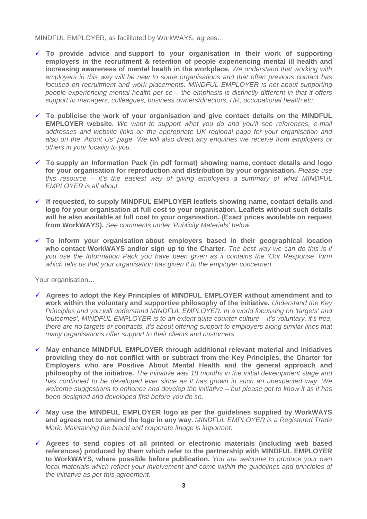MINDFUL EMPLOYER, as facilitated by WorkWAYS, agrees…

- $\checkmark$  To provide advice and support to your organisation in their work of supporting **employers in the recruitment & retention of people experiencing mental ill health and increasing awareness of mental health in the workplace.** *We understand that working with employers in this way will be new to some organisations and that often previous contact has focused on recruitment and work placements. MINDFUL EMPLOYER is not about supporting people experiencing mental health per se – the emphasis is distinctly different in that it offers support to managers, colleagues, business owners/directors, HR, occupational health etc.*
- $\checkmark$  To publicise the work of your organisation and give contact details on the MINDFUL **EMPLOYER website.** *We want to support what you do and you'll see references, e-mail addresses and website links on the appropriate UK regional page for your organisation and also on the 'About Us' page. We will also direct any enquiries we receive from employers or others in your locality to you.*
- 9 **To supply an Information Pack (in pdf format) showing name, contact details and logo for your organisation for reproduction and distribution by your organisation.** *Please use this resource – it's the easiest way of giving employers a summary of what MINDFUL EMPLOYER is all about.*
- 9 **If requested, to supply MINDFUL EMPLOYER leaflets showing name, contact details and logo for your organisation at full cost to your organisation. Leaflets without such details will be also available at full cost to your organisation. (Exact prices available on request from WorkWAYS).** *See comments under 'Publicity Materials' below.*
- $\checkmark$  To inform your organisation about employers based in their geographical location **who contact WorkWAYS and/or sign up to the Charter.** *The best way we can do this is if you use the Information Pack you have been given as it contains the 'Our Response' form which tells us that your organisation has given it to the employer concerned.*

Your organisation…

- 9 **Agrees to adopt the Key Principles of MINDFUL EMPLOYER without amendment and to work within the voluntary and supportive philosophy of the initiative.** *Understand the Key Principles and you will understand MINDFUL EMPLOYER. In a world focussing on 'targets' and 'outcomes', MINDFUL EMPLOYER is to an extent quite counter-culture – it's voluntary, it's free, there are no targets or contracts, it's about offering support to employers along similar lines that many organisations offer support to their clients and customers.*
- 9 **May enhance MINDFUL EMPLOYER through additional relevant material and initiatives providing they do not conflict with or subtract from the Key Principles, the Charter for Employers who are Positive About Mental Health and the general approach and philosophy of the initiative.** *The initiative was 18 months in the initial development stage and has continued to be developed ever since as it has grown in such an unexpected way. We welcome suggestions to enhance and develop the initiative – but please get to know it as it has been designed and developed first before you do so.*
- 9 **May use the MINDFUL EMPLOYER logo as per the guidelines supplied by WorkWAYS and agrees not to amend the logo in any way.** *MINDFUL EMPLOYER is a Registered Trade Mark*. *Maintaining the brand and corporate image is important.*
- 9 **Agrees to send copies of all printed or electronic materials (including web based references) produced by them which refer to the partnership with MINDFUL EMPLOYER to WorkWAYS, where possible before publication.** *You are welcome to produce your own local materials which reflect your involvement and come within the guidelines and principles of the initiative as per this agreement.*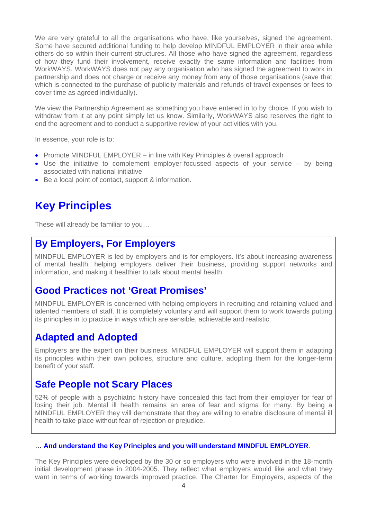We are very grateful to all the organisations who have, like yourselves, signed the agreement. Some have secured additional funding to help develop MINDFUL EMPLOYER in their area while others do so within their current structures. All those who have signed the agreement, regardless of how they fund their involvement, receive exactly the same information and facilities from WorkWAYS. WorkWAYS does not pay any organisation who has signed the agreement to work in partnership and does not charge or receive any money from any of those organisations (save that which is connected to the purchase of publicity materials and refunds of travel expenses or fees to cover time as agreed individually).

We view the Partnership Agreement as something you have entered in to by choice. If you wish to withdraw from it at any point simply let us know. Similarly, WorkWAYS also reserves the right to end the agreement and to conduct a supportive review of your activities with you.

In essence, your role is to:

- Promote MINDFUL EMPLOYER in line with Key Principles & overall approach
- Use the initiative to complement employer-focussed aspects of your service by being associated with national initiative
- Be a local point of contact, support & information.

# **Key Principles**

These will already be familiar to you…

### **By Employers, For Employers**

MINDFUL EMPLOYER is led by employers and is for employers. It's about increasing awareness of mental health, helping employers deliver their business, providing support networks and information, and making it healthier to talk about mental health.

### **Good Practices not 'Great Promises'**

MINDFUL EMPLOYER is concerned with helping employers in recruiting and retaining valued and talented members of staff. It is completely voluntary and will support them to work towards putting its principles in to practice in ways which are sensible, achievable and realistic.

### **Adapted and Adopted**

Employers are the expert on their business. MINDFUL EMPLOYER will support them in adapting its principles within their own policies, structure and culture, adopting them for the longer-term benefit of your staff.

### **Safe People not Scary Places**

52% of people with a psychiatric history have concealed this fact from their employer for fear of losing their job. Mental ill health remains an area of fear and stigma for many. By being a MINDFUL EMPLOYER they will demonstrate that they are willing to enable disclosure of mental ill health to take place without fear of rejection or prejudice.

#### … **And understand the Key Principles and you will understand MINDFUL EMPLOYER**.

The Key Principles were developed by the 30 or so employers who were involved in the 18-month initial development phase in 2004-2005. They reflect what employers would like and what they want in terms of working towards improved practice. The Charter for Employers, aspects of the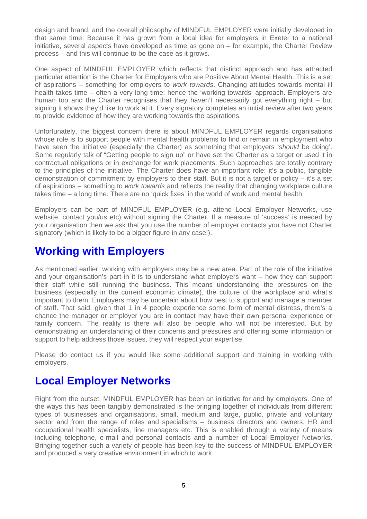design and brand, and the overall philosophy of MINDFUL EMPLOYER were initially developed in that same time. Because it has grown from a local idea for employers in Exeter to a national initiative, several aspects have developed as time as gone on – for example, the Charter Review process – and this will continue to be the case as it grows.

One aspect of MINDFUL EMPLOYER which reflects that distinct approach and has attracted particular attention is the Charter for Employers who are Positive About Mental Health. This is a set of aspirations – something for employers to *work towards*. Changing attitudes towards mental ill health takes time – often a very long time: hence the 'working towards' approach. Employers are human too and the Charter recognises that they haven't necessarily got everything right – but signing it shows they'd like to work at it. Every signatory completes an initial review after two years to provide evidence of how they are working towards the aspirations.

Unfortunately, the biggest concern there is about MINDFUL EMPLOYER regards organisations whose role is to support people with mental health problems to find or remain in employment who have seen the initiative (especially the Charter) as something that employers '*should* be doing'. Some regularly talk of "Getting people to sign up" or have set the Charter as a target or used it in contractual obligations or in exchange for work placements. Such approaches are totally contrary to the principles of the initiative. The Charter does have an important role: it's a public, tangible demonstration of commitment by employers to their staff. But it is not a target or policy – it's a set of aspirations – something to *work towards* and reflects the reality that changing workplace culture takes time – a long time. There are no 'quick fixes' in the world of work and mental health.

Employers can be part of MINDFUL EMPLOYER (e.g. attend Local Employer Networks, use website, contact you/us etc) without signing the Charter. If a measure of 'success' is needed by your organisation then we ask that you use the number of employer contacts you have not Charter signatory (which is likely to be a bigger figure in any case!).

# **Working with Employers**

As mentioned earlier, working with employers may be a new area. Part of the role of the initiative and your organisation's part in it is to understand what employers want – how they can support their staff while still running the business. This means understanding the pressures on the business (especially in the current economic climate), the culture of the workplace and what's important to them. Employers may be uncertain about how best to support and manage a member of staff. That said, given that 1 in 4 people experience some form of mental distress, there's a chance the manager or employer you are in contact may have their own personal experience or family concern. The reality is there will also be people who will not be interested. But by demonstrating an understanding of their concerns and pressures and offering some information or support to help address those issues, they will respect your expertise.

Please do contact us if you would like some additional support and training in working with employers.

# **Local Employer Networks**

Right from the outset, MINDFUL EMPLOYER has been an initiative for and by employers. One of the ways this has been tangibly demonstrated is the bringing together of individuals from different types of businesses and organisations, small, medium and large, public, private and voluntary sector and from the range of roles and specialisms – business directors and owners, HR and occupational health specialists, line managers etc. This is enabled through a variety of means including telephone, e-mail and personal contacts and a number of Local Employer Networks. Bringing together such a variety of people has been key to the success of MINDFUL EMPLOYER and produced a very creative environment in which to work.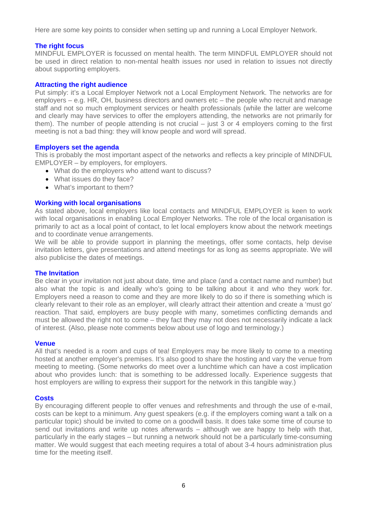Here are some key points to consider when setting up and running a Local Employer Network.

#### **The right focus**

MINDFUL EMPLOYER is focussed on mental health. The term MINDFUL EMPLOYER should not be used in direct relation to non-mental health issues nor used in relation to issues not directly about supporting employers.

#### **Attracting the right audience**

Put simply: it's a Local Employer Network not a Local Employment Network. The networks are for employers – e.g. HR, OH, business directors and owners etc – the people who recruit and manage staff and not so much employment services or health professionals (while the latter are welcome and clearly may have services to offer the employers attending, the networks are not primarily for them). The number of people attending is not crucial – just 3 or 4 employers coming to the first meeting is not a bad thing: they will know people and word will spread.

#### **Employers set the agenda**

This is probably the most important aspect of the networks and reflects a key principle of MINDFUL EMPLOYER – by employers, for employers.

- What do the employers who attend want to discuss?
- What issues do they face?
- What's important to them?

#### **Working with local organisations**

As stated above, local employers like local contacts and MINDFUL EMPLOYER is keen to work with local organisations in enabling Local Employer Networks. The role of the local organisation is primarily to act as a local point of contact, to let local employers know about the network meetings and to coordinate venue arrangements.

We will be able to provide support in planning the meetings, offer some contacts, help devise invitation letters, give presentations and attend meetings for as long as seems appropriate. We will also publicise the dates of meetings.

#### **The Invitation**

Be clear in your invitation not just about date, time and place (and a contact name and number) but also what the topic is and ideally who's going to be talking about it and who they work for. Employers need a reason to come and they are more likely to do so if there is something which is clearly relevant to their role as an employer, will clearly attract their attention and create a 'must go' reaction. That said, employers are busy people with many, sometimes conflicting demands and must be allowed the right not to come – they fact they may not does not necessarily indicate a lack of interest. (Also, please note comments below about use of logo and terminology.)

#### **Venue**

All that's needed is a room and cups of tea! Employers may be more likely to come to a meeting hosted at another employer's premises. It's also good to share the hosting and vary the venue from meeting to meeting. (Some networks do meet over a lunchtime which can have a cost implication about who provides lunch: that is something to be addressed locally. Experience suggests that host employers are willing to express their support for the network in this tangible way.)

#### **Costs**

By encouraging different people to offer venues and refreshments and through the use of e-mail, costs can be kept to a minimum. Any guest speakers (e.g. if the employers coming want a talk on a particular topic) should be invited to come on a goodwill basis. It does take some time of course to send out invitations and write up notes afterwards – although we are happy to help with that, particularly in the early stages – but running a network should not be a particularly time-consuming matter. We would suggest that each meeting requires a total of about 3-4 hours administration plus time for the meeting itself.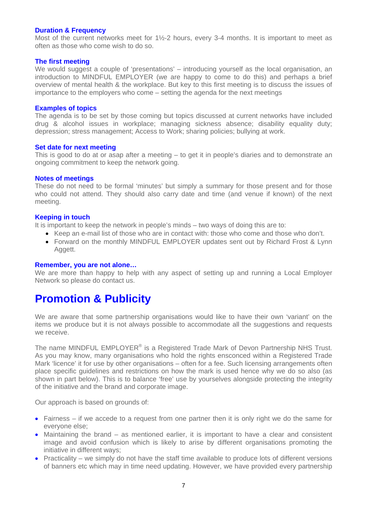#### **Duration & Frequency**

Most of the current networks meet for 1½-2 hours, every 3-4 months. It is important to meet as often as those who come wish to do so.

#### **The first meeting**

We would suggest a couple of 'presentations' – introducing yourself as the local organisation, an introduction to MINDFUL EMPLOYER (we are happy to come to do this) and perhaps a brief overview of mental health & the workplace. But key to this first meeting is to discuss the issues of importance to the employers who come – setting the agenda for the next meetings

#### **Examples of topics**

The agenda is to be set by those coming but topics discussed at current networks have included drug & alcohol issues in workplace; managing sickness absence; disability equality duty; depression; stress management; Access to Work; sharing policies; bullying at work.

#### **Set date for next meeting**

This is good to do at or asap after a meeting – to get it in people's diaries and to demonstrate an ongoing commitment to keep the network going.

#### **Notes of meetings**

These do not need to be formal 'minutes' but simply a summary for those present and for those who could not attend. They should also carry date and time (and venue if known) of the next meeting.

#### **Keeping in touch**

It is important to keep the network in people's minds – two ways of doing this are to:

- Keep an e-mail list of those who are in contact with: those who come and those who don't.
- Forward on the monthly MINDFUL EMPLOYER updates sent out by Richard Frost & Lynn Aggett.

#### **Remember, you are not alone…**

We are more than happy to help with any aspect of setting up and running a Local Employer Network so please do contact us.

## **Promotion & Publicity**

We are aware that some partnership organisations would like to have their own 'variant' on the items we produce but it is not always possible to accommodate all the suggestions and requests we receive.

The name MINDFUL EMPLOYER<sup>®</sup> is a Registered Trade Mark of Devon Partnership NHS Trust. As you may know, many organisations who hold the rights ensconced within a Registered Trade Mark 'licence' it for use by other organisations – often for a fee. Such licensing arrangements often place specific guidelines and restrictions on how the mark is used hence why we do so also (as shown in part below). This is to balance 'free' use by yourselves alongside protecting the integrity of the initiative and the brand and corporate image.

Our approach is based on grounds of:

- Fairness if we accede to a request from one partner then it is only right we do the same for everyone else;
- Maintaining the brand as mentioned earlier, it is important to have a clear and consistent image and avoid confusion which is likely to arise by different organisations promoting the initiative in different ways;
- Practicality we simply do not have the staff time available to produce lots of different versions of banners etc which may in time need updating. However, we have provided every partnership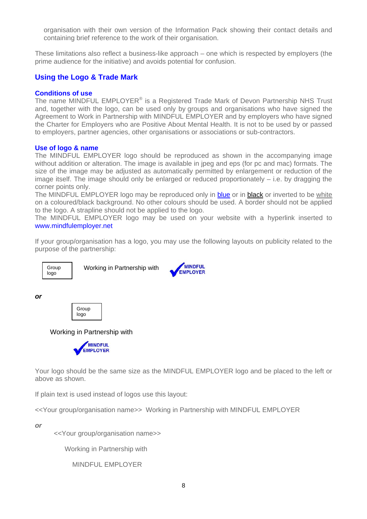organisation with their own version of the Information Pack showing their contact details and containing brief reference to the work of their organisation.

These limitations also reflect a business-like approach – one which is respected by employers (the prime audience for the initiative) and avoids potential for confusion.

#### **Using the Logo & Trade Mark**

#### **Conditions of use**

The name MINDFUL EMPLOYER<sup>®</sup> is a Registered Trade Mark of Devon Partnership NHS Trust and, together with the logo, can be used only by groups and organisations who have signed the Agreement to Work in Partnership with MINDFUL EMPLOYER and by employers who have signed the Charter for Employers who are Positive About Mental Health. It is not to be used by or passed to employers, partner agencies, other organisations or associations or sub-contractors.

#### **Use of logo & name**

The MINDFUL EMPLOYER logo should be reproduced as shown in the accompanying image without addition or alteration. The image is available in jpeg and eps (for pc and mac) formats. The size of the image may be adjusted as automatically permitted by enlargement or reduction of the image itself. The image should only be enlarged or reduced proportionately – i.e. by dragging the corner points only.

The MINDFUL EMPLOYER logo may be reproduced only in blue or in black or inverted to be white on a coloured/black background. No other colours should be used. A border should not be applied to the logo. A strapline should not be applied to the logo.

The MINDFUL EMPLOYER logo may be used on your website with a hyperlink inserted to www.mindfulemployer.net

If your group/organisation has a logo, you may use the following layouts on publicity related to the purpose of the partnership:



Group | Working in Partnership with



*or* 



Working in Partnership with



Your logo should be the same size as the MINDFUL EMPLOYER logo and be placed to the left or above as shown.

If plain text is used instead of logos use this layout:

<<Your group/organisation name>> Working in Partnership with MINDFUL EMPLOYER

*or* 

<<Your group/organisation name>>

Working in Partnership with

MINDFUL EMPLOYER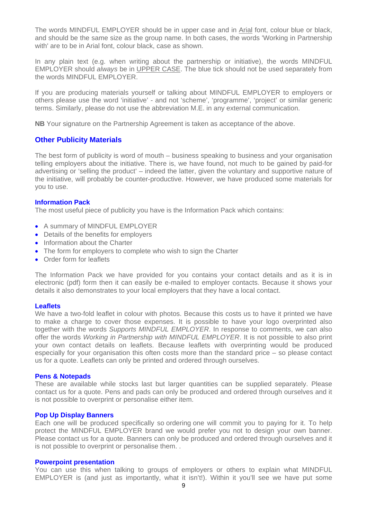The words MINDFUL EMPLOYER should be in upper case and in Arial font, colour blue or black, and should be the same size as the group name. In both cases, the words 'Working in Partnership with' are to be in Arial font, colour black, case as shown.

In any plain text (e.g. when writing about the partnership or initiative), the words MINDFUL EMPLOYER should *always* be in UPPER CASE. The blue tick should not be used separately from the words MINDFUL EMPLOYER.

If you are producing materials yourself or talking about MINDFUL EMPLOYER to employers or others please use the word 'initiative' - and not 'scheme', 'programme', 'project' or similar generic terms. Similarly, please do not use the abbreviation M.E. in any external communication.

**NB** Your signature on the Partnership Agreement is taken as acceptance of the above.

#### **Other Publicity Materials**

The best form of publicity is word of mouth – business speaking to business and your organisation telling employers about the initiative. There is, we have found, not much to be gained by paid-for advertising or 'selling the product' – indeed the latter, given the voluntary and supportive nature of the initiative, will probably be counter-productive. However, we have produced some materials for you to use.

#### **Information Pack**

The most useful piece of publicity you have is the Information Pack which contains:

- A summary of MINDFUL EMPLOYER
- Details of the benefits for employers
- Information about the Charter
- The form for employers to complete who wish to sign the Charter
- Order form for leaflets

The Information Pack we have provided for you contains your contact details and as it is in electronic (pdf) form then it can easily be e-mailed to employer contacts. Because it shows your details it also demonstrates to your local employers that they have a local contact.

#### **Leaflets**

We have a two-fold leaflet in colour with photos. Because this costs us to have it printed we have to make a charge to cover those expenses. It is possible to have your logo overprinted also together with the words *Supports MINDFUL EMPLOYER*. In response to comments, we can also offer the words *Working in Partnership with MINDFUL EMPLOYER*. It is not possible to also print your own contact details on leaflets. Because leaflets with overprinting would be produced especially for your organisation this often costs more than the standard price – so please contact us for a quote. Leaflets can only be printed and ordered through ourselves.

#### **Pens & Notepads**

These are available while stocks last but larger quantities can be supplied separately. Please contact us for a quote. Pens and pads can only be produced and ordered through ourselves and it is not possible to overprint or personalise either item.

#### **Pop Up Display Banners**

Each one will be produced specifically so ordering one will commit you to paying for it. To help protect the MINDFUL EMPLOYER brand we would prefer you not to design your own banner. Please contact us for a quote. Banners can only be produced and ordered through ourselves and it is not possible to overprint or personalise them. .

#### **Powerpoint presentation**

You can use this when talking to groups of employers or others to explain what MINDFUL EMPLOYER is (and just as importantly, what it isn't!). Within it you'll see we have put some